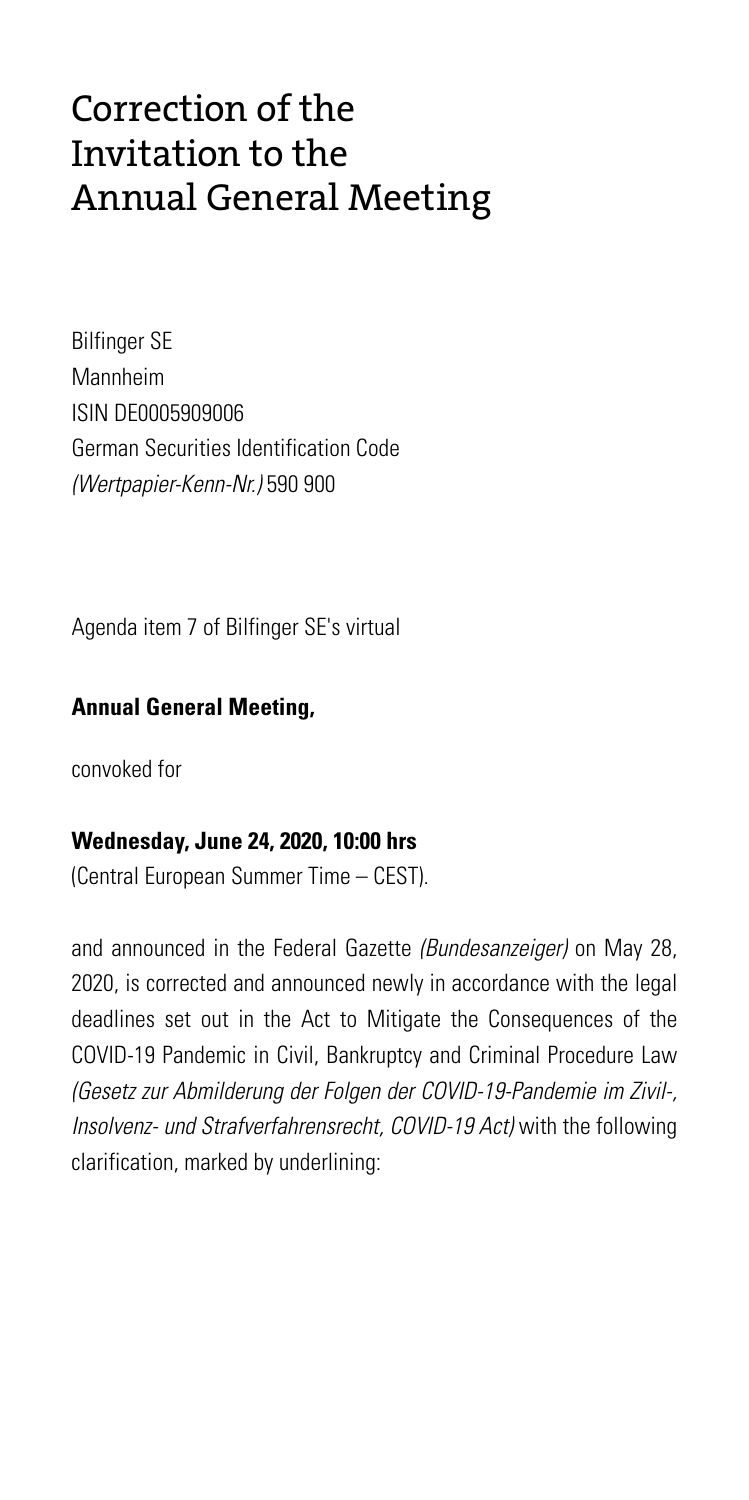## Correction of the Invitation to the Annual General Meeting

Bilfinger SE Mannheim ISIN DE0005909006 German Securities Identification Code *(Wertpapier-Kenn-Nr.)* 590 900

Agenda item 7 of Bilfinger SE's virtual

## **Annual General Meeting,**

convoked for

## **Wednesday, June 24, 2020, 10:00 hrs**

(Central European Summer Time – CEST).

and announced in the Federal Gazette *(Bundesanzeiger)* on May 28, 2020, is corrected and announced newly in accordance with the legal deadlines set out in the Act to Mitigate the Consequences of the COVID-19 Pandemic in Civil, Bankruptcy and Criminal Procedure Law *(Gesetz zur Abmilderung der Folgen der COVID-19-Pandemie im Zivil-, Insolvenz- und Strafverfahrensrecht, COVID-19 Act)* with the following clarification, marked by underlining: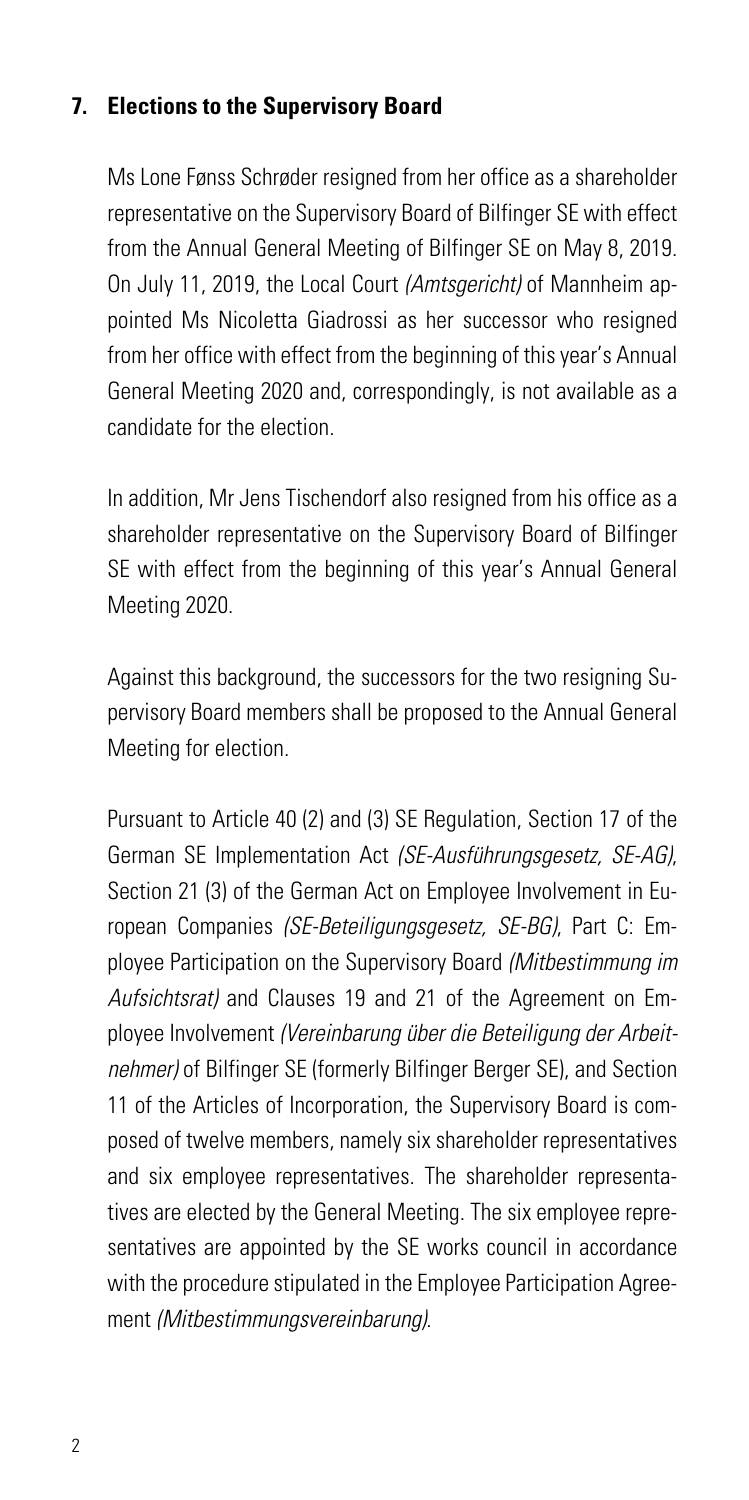## **7. Elections to the Supervisory Board**

Ms Lone Fønss Schrøder resigned from her office as a shareholder representative on the Supervisory Board of Bilfinger SE with effect from the Annual General Meeting of Bilfinger SE on May 8, 2019. On July 11, 2019, the Local Court *(Amtsgericht)* of Mannheim appointed Ms Nicoletta Giadrossi as her successor who resigned from her office with effect from the beginning of this year's Annual General Meeting 2020 and, correspondingly, is not available as a candidate for the election.

In addition, Mr Jens Tischendorf also resigned from his office as a shareholder representative on the Supervisory Board of Bilfinger SE with effect from the beginning of this year's Annual General Meeting 2020.

Against this background, the successors for the two resigning Supervisory Board members shall be proposed to the Annual General Meeting for election.

Pursuant to Article 40 (2) and (3) SE Regulation, Section 17 of the German SE Implementation Act *(SE-Ausführungsgesetz, SE-AG)*, Section 21 (3) of the German Act on Employee Involvement in European Companies *(SE-Beteiligungsgesetz, SE-BG)*, Part C: Employee Participation on the Supervisory Board *(Mitbestimmung im Aufsichtsrat)* and Clauses 19 and 21 of the Agreement on Employee Involvement *(Vereinbarung über die Beteiligung der Arbeitnehmer)* of Bilfinger SE (formerly Bilfinger Berger SE), and Section 11 of the Articles of Incorporation, the Supervisory Board is composed of twelve members, namely six shareholder representatives and six employee representatives. The shareholder representatives are elected by the General Meeting. The six employee representatives are appointed by the SE works council in accordance with the procedure stipulated in the Employee Participation Agreement *(Mitbestimmungsvereinbarung)*.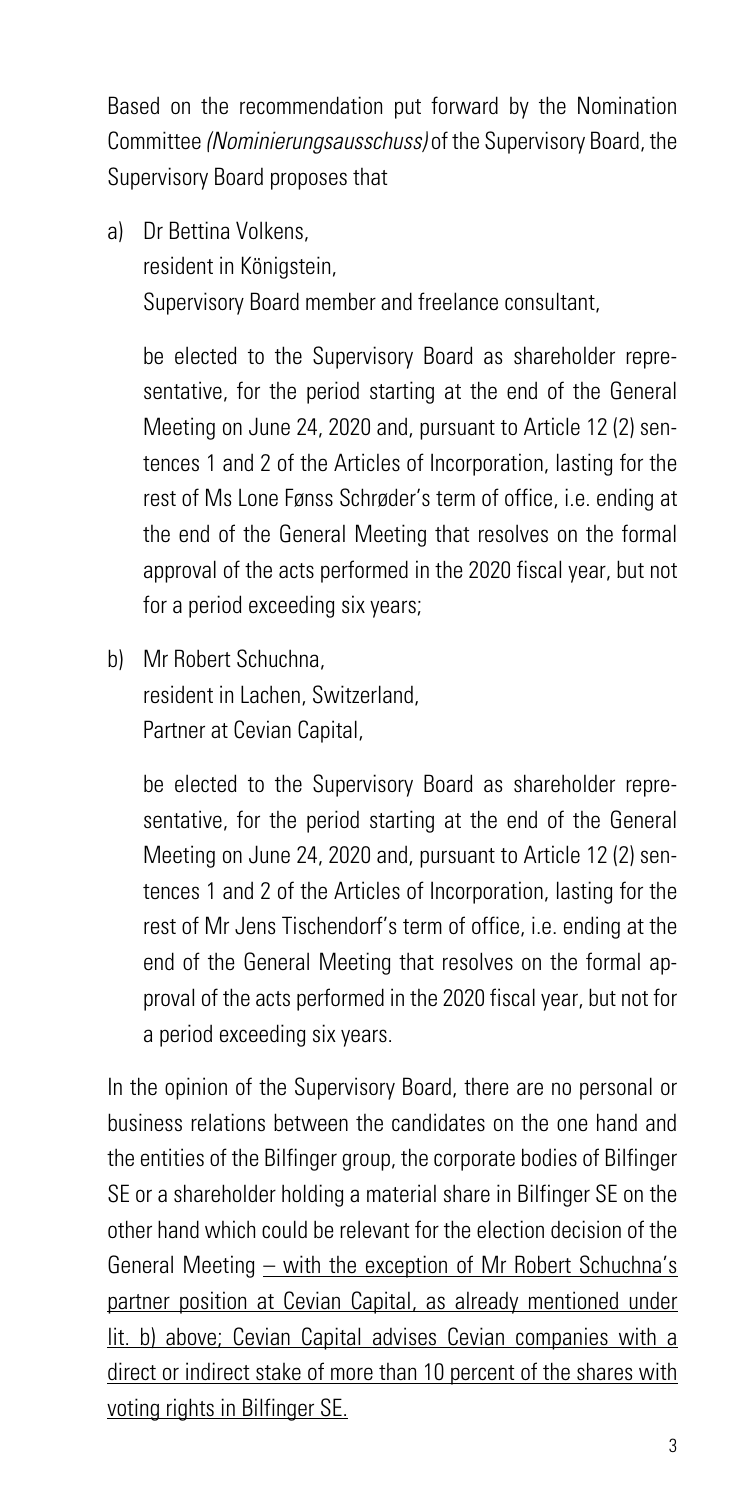Based on the recommendation put forward by the Nomination Committee *(Nominierungsausschuss)* of the Supervisory Board, the Supervisory Board proposes that

a) Dr Bettina Volkens, resident in Königstein, Supervisory Board member and freelance consultant,

be elected to the Supervisory Board as shareholder representative, for the period starting at the end of the General Meeting on June 24, 2020 and, pursuant to Article 12 (2) sentences 1 and 2 of the Articles of Incorporation, lasting for the rest of Ms Lone Fønss Schrøder's term of office, i.e. ending at the end of the General Meeting that resolves on the formal approval of the acts performed in the 2020 fiscal year, but not for a period exceeding six years;

b) Mr Robert Schuchna, resident in Lachen, Switzerland, Partner at Cevian Capital,

> be elected to the Supervisory Board as shareholder representative, for the period starting at the end of the General Meeting on June 24, 2020 and, pursuant to Article 12 (2) sentences 1 and 2 of the Articles of Incorporation, lasting for the rest of Mr Jens Tischendorf's term of office, i.e. ending at the end of the General Meeting that resolves on the formal approval of the acts performed in the 2020 fiscal year, but not for a period exceeding six years.

In the opinion of the Supervisory Board, there are no personal or business relations between the candidates on the one hand and the entities of the Bilfinger group, the corporate bodies of Bilfinger SE or a shareholder holding a material share in Bilfinger SE on the other hand which could be relevant for the election decision of the General Meeting – with the exception of Mr Robert Schuchna's partner position at Cevian Capital, as already mentioned under lit. b) above; Cevian Capital advises Cevian companies with a direct or indirect stake of more than 10 percent of the shares with voting rights in Bilfinger SE.